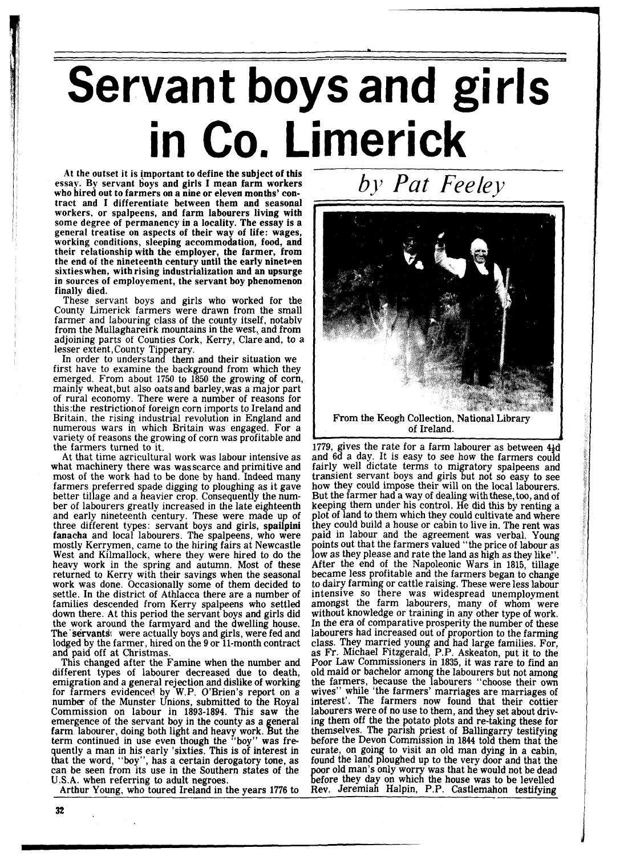## **Servant boys and girls in Co. Limerick**

**At** the outset it is important to define the subject of this essay. By servant boys and girls I mean farm workers who hired out to farmers on a nine or eleven months' contract and I differentiate between them and seasonal workers, or spalpeens, and farm labourers living with some degree of permanency in a locality. The essay is a general treatise on aspects of their way of life: wages, working conditions, sleeping accommodation, food, and their relationship with the employer, the farmer, from the end of the nineteenth century until the early nineteen sixties when, with rising industrialization and an upsurge in sources of employement, the servant boy phenomenon finally died.

These servant boys and girls who worked for the County Limerick farmers were drawn from the small farmer and labouring class of the county itself, notablv from the Mullaghareirk mountains in the west,, and from adjoining parts of Counties Cork, Kerry, Clare and, to a lesser extent, County Tipperary.

In order to understand them and their situation we first have to examine the background from which they emerged. From about 1750 to 1850 the growing of corn, mainly wheat, but also oatsand barley,was a major part of rural economy. There were a number of reasons for this:the restrictionof foreign corn imports to Ireland and Britain, the rising industrial revolution in England and numerous wars in which Britain was engaged. For a variety of reasons the growing of corn was profitable and the farmers turned to it.

At that time agricultural work was labour intensive as what machinery there was wasscarce and primitive and most of the work had to be done by hand. Indeed many farmers preferred spade digging to ploughing as it gave better tillage and a heavier crop. Consequently the num-<br>ber of labourers greatly increased in the late eighteenth ber of labourers greatly increased in the late eighteenth and early nineteenth century. These were made up of three different types: servant boys and girls, **spailpini**<br>**fanacha** and local labourers. The spalpeens, who were mostly Kerrymen, came to the hiring fairs at Newcastle West and Kilmallock, where they were hired to do the heavy work in the spring and autumn. Most of these returned to Kerry with their savings when the seasonal work was done. Occasionally some of them decided to settle. In the district of Athlacca there are a number of families descended from Kerry spalpeens who settled down there. At this period the servant boys and girls did the work around the farmyard and the dwelling house. The'servants! were actually boys and girls, were fed and lodged by the farmer, hired on the 9 or 11-month contract and paid off at Christmas.

This changed after the Famine when the number and different types of labourer decreased due to death, emigration and a general rejection and dislike of working<br>for farmers evidenced by W.P. O'Brien's report on a number of the Munster Unions, submitted to the Royal Commission on labour in 1893-1894. This saw the emergence of the servant boy in the county as a general farm labourer, doing both light and heavy work. But the term continued in use even though the "boy" was frequently a man in his early 'sixties. This is of interest in that the word, "boy", has a certain derogatory tone, as can be seen from its use in the Southern states of the U.S.A. when referring to adult negroes.

Arthur Young, who toured Ireland in the years 1776 to



*bj? Pat Feeley* 

of Ireland.

1779, gives the rate for a farm labourer as between  $4\frac{1}{2}d$ and 6d a day. It is easy to see how the farmers could fairly well dictate terms to migratory spalpeens and transient servant boys and girls but not so easy to see how they could impose their will on the local labourers. But the farmer had a way of dealing with these, too, and of keeping them under his control. He did this by renting a plot of land to them which they could cultivate and where they could build a house or cabin to live in. The rent was paid in labour and the agreement was verbal. Young points out that the farmers valued "the price of labour as low as they please and rate the land as high as they like". After the end of the Napoleonic Wars in 1815, tillage became less profitable and the farmers began to change to dairy farming or cattle raising. These were less labour intensive so there was widespread unemployment amongst the farm labourers, many of whom were without knowledge or training in any other type of work. In the era of comparative prosperity the number of these labourers had increased out of proportion to the farming class. They married young and had large families. For, as Fr. Michael Fitzgerald, P.P. Askeaton, put it to the Poor Law Commissioners in 1835, it was rare to find an old maid or bachelor among the labourers but not among the farmers, because the labourers "choose their own wives" while 'the farmers' marriages are marriages of interest'. The farmers now found that their cottier labourers were of no use to them, and they set about driving them off the the potato plots and re-taking these for themselves. The parish priest of Ballingarry testifying before the Devon Commission in 1844 told them that the curate, on going to visit an old man dying in a cabin, found the land ploughed up to the very door and that the poor old man's only worry was that he would not be dead before they day on which the house was to be levelled Rev. Jeremiah Halpin, P.P. Castlemahon testifying

**32**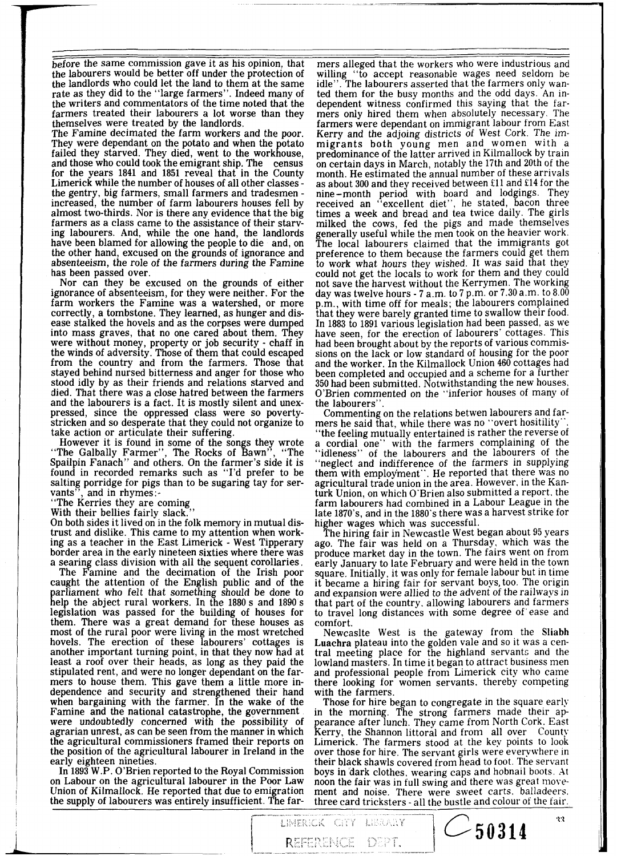- before the same commission gave it as his opinion, that the labourers would be better off under the protection of the landlords who could let the land to them-at the same rate as they did to the "large farmers". Indeed many of the writers and commentators of the time noted that the farmers treated their labourers a lot worse than they themselves were treated by the landlords.

The Famine decimated the farm workers and the poor. They were dependant on the potato and when the potato failed they starved. They died, went to the workhouse, and those who could took the emigrant ship. The census for the years 1841 and 1851 reveal that in the County<br>Limerick while the number of houses of all other classes-<br>the gentry, big farmers, small farmers and tradesmen-<br>increased, the number of farm labourers houses fell by<br>a ing labourers. And, while the one hand, the landlords have been blamed for allowing the people to die and, on the other hand, excused on the grounds of ignorance and absenteeism, the role of the farmers during the Famine has been passed over.

Nor can they be excused on the grounds of either ignorance of absenteeism, for they were neither. For the farm workers the Famine was a watershed, or more correctly, a tombstone. They learned, as hunger and disinto mass graves, that no one cared about them. They were without money, property or job security - chaff in the winds of adversity. Those of them that could escaped from the country and from the farmers. Those that stayed behind nursed bitterness and anger for those who stood idly by as their friends and relations starved and died. That there was a close hatred between the farmers and the labourers is a fact. It is mostly silent and unexpressed, since the oppressed class were so poverty-<br>stricken and so desperate that they could not organize to take action or articulate their suffering.

However it is found in some of the songs they wrote "The Galbally Farmer", The Rocks of Bawn", "The Spailpin Fanach" and others. On the farmer's side it is found in recorded remarks such as "I'd prefer to be salting porridge for pigs than to be sugaring tay for ser-

vants", and in rhymes:-<br>"The Kerries they are coming

With their bellies fairly slack."<br>On both sides it lived on in the folk memory in mutual distrust and dislike. This came to my attention when workborder area in the early nineteen sixties where there was a searing class division with all the sequent corollaries.

The Famine and the decimation of the Irish poor caught the attention of the English public and of the parliament who felt that something should be done to help the abject rural workers. In the 1880 s and 1890 s legislation was passed for the building of houses for them. There was a great demand for these houses as most of the rural poor were living in the most wretched hovels. The erection of these labourers' cottages is another important turning point, in that they now had at least a roof over their heads, as long as they paid the stipulated rent, and were no longer dependant on the farmers to house them. This gave them a little more independence and security and strengthened their hand when bargaining with the farmer. In the wake of the Famine and the national catastrophe, the government were undoubtedly concerned with the possibility of agrarian unrest, as can be seen from the manner in which the agricultural commissioners framed their reports on the position of the agricultural labourer in Ireland in the early eighteen nineties.

In 1893 W.P. O'Brien reported to the Royal Commission on Labour on the agricultural labourer in the Poor Law<br>Union of Kilmallock. He reported that due to emigration the supply of labourers was entirely insufficient. The far-

mers alleged that the workers who were industrious and willing "to accept reasonable wages need seldom be idle". The labourers asserted that the farmers only wanted them for the busy months and the odd days. An independent witness confirmed this saying that the farmers only hired them when absolutely necessary, The farmers were dependant on immigrant labour from East Kerry and the adjoing districts of West Cork. The immigrants both young men and women with a predominance of the latter arrived in Kilmallock by train on certain days in March, notably the 17th and 20th of the month. He estimated the annual number of these arrivals as about 300 and they received between £11 and £14 for the nine-month period with board and lodgings. They received an "excellent diet", he stated, bacon three times a week and bread and tea twice daily. The girls milked the cows, fed the pigs and made themselves generally useful while the men took on the heavier work. preference to them because the farmers could get them<br>to work what hours they wished. It was said that they could not get the locals to work for them and they could not save the harvest without the Kerrymen. The working day was twelve hours - 7 a.m. to 7 p.m. or 7.30 a.m. to 8.00 p.m., with time off for meals; the labourers complained that they were barely granted time to swallow their food. In 1883 to 1891 various legislation had been passed, as we have seen, for the erection of labourers' cottages. This had been brought about by the reports of various commissions on the lack or low standard of housing for the poor and the worker. In the Kilmallock Union 460 cottages had been completed and occupied and a scheme for a further 350 had been submitted. Notwithstanding the new houses. O'Brien commented on the "inferior houses of many of the labourers".

Commenting on the relations betwen labourers and far-<br>mers he said that, while there was no "overt hositility".

the feeling mutually entertained is rather the reverse of a cordial one" with the farmers complaining of the "idleness" of the labourers and the labourers of the "neglect and indifference of the farmers in supplying<br>them with employment". He reported that there was no agricultural trade union in the area. However, in the Kanturk Union, on which O'Brien also submitted a report. the farm labourers had combined in a Labour League in the late 1870's, and in the 1880's there was a harvest strike for higher wages which was successful.

The hiring fair in Newcastle West began about 95 years ago. The fair was held on a Thursday, which was the produce market day in the town. The fairs went on from early January to late February and were held in the town square. Initially, it was only for female labour but in time<br>it became a hiring fair for servant boys, too. The origin and expansion were allied to the advent of the railways in that part of the country. allowing labourers and farmers to travel long distances with some degree of ease and comfort.

Newcaslte West is the gateway from the Sliabh Luachra plateau into the golden vale and so it was a central meeting place for the highland servants and the lowland masters. In time it began to attract business men and professional people from Limerick city who came there looking for women servants, thereby competing<br>with the farmers.<br>Those for hire began to congregate in the square early

in the morning. The strong farmers made their appearance after lunch. They came from North Cork. East<br>Kerry, the Shannon littoral and from all over County Limerick. The farmers stood at the key points to look over those for hire. The servant girls were everywhere in their black shawls covered from head to foot. The servant boys in dark clothes. wearing caps and hobnail boots. At noon the fair was in full swing and there was great movement and noise. There were sweet carts. balladeers. three card tricksters - all the bustle and colour of the fair.

 $\sim$  50314

LIMERICK CITY LIBRARY

REFERENCE DEPT.

 $\ddot{\mathbf{v}}$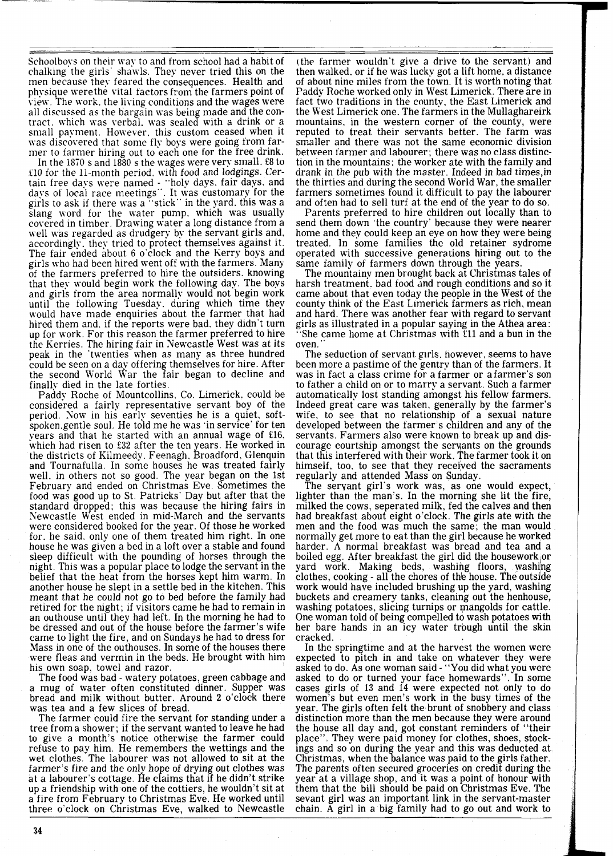Schoolboys on their way to and from school had a habit of chalking the girls' shawls. They never tried this on the men because they feared the consequences. Health and physique werethe vital factors from the farmers point of view. The work. the living conditions and the wages were all discussed as the bargain was being made and the contract. which was verbal. was sealed with a drink or a small payment. However. this custom ceased when it was discovered that some fly boys were going from farmer to farmer hiring out to each one for the free drink.

In the  $1870$  s and  $1880$  s the wages were very small.  $£8$  to f10 for the 11-month period, with food and lodgings. Certain free days were named - "holy days, fair days, and days of local race meetings". It was customary for the girls to ask if there was a "stick" in the yard. this was a slang word for the water pump. which was usually covered in timber. Drawing water a long distance from a well was regarded as drudgery by the servant girls and. accordingly. they tried to protect themselves against it. The fair ended about 6 o'clock and the Kerry boys and girls who had been hired went off with the farmers. Many of the farmers preferred to hire the outsiders. knowing that they would begin work the following day. The boys and girls from the area normally would not begin work until the following Tuesday. during which time they would have made enquiries about the farmer that had hired them and. if the reports were bad. they didn't turn up for work. For this reason the farmer preferred to hire the Kerries. The hiring fair in Newcastle West was at its peak in the 'twenties when as many as three hundred could be seen on a dav offering themselves for hire. After the second World War the fair began to decline and finally died in the late forties.

Paddy Roche of Mountcollins. Co. Limerick. could be considered a fairly representative servant boy of the period. Now in his early seventies he is a quiet, softspoken.gentle soul. He told me he was 'in service' for ten years and that he started with an annual wage of £16. which had risen to **532** after the ten years. He worked in the districts of Kilmeedy . Feenagh. Broadford. Glenquin and Tournafulla. In some houses he was treated fairly well. in others not so good. The year began on the 1st February and ended on Christmas Eve. Sometimes the food was good up to St. Patricks' Day but after that the standard dropped: this was because the hiring fairs in Newcastle West ended in mid-March and the servants were considered booked for the year. Of those he worked for. he said. only one of them treated him right. In one house he was given a bed in a loft over a stable and found sleep difficult with the pounding of horses through the night. This was a popular place to lodge the servant in the belief that the heat from the horses kept him warm. In another house he slept in a settle bed in the kitchen. This meant that he could not go to bed before the family had retired for the night; if visitors came he had to remain in an outhouse until they had left. In the morning he had to be dressed and out of the house before the farmer's wife came to light the fire, and on Sundays he had to dress for Mass in one of the outhouses. In some of the houses there were fleas and vermin in the beds. He brought with him his own soap, towel and razor.

The food was bad - watery potatoes, green cabbage and a mug of water often constituted dinner. Supper was bread and milk without butter. Around 2 o'clock there was tea and a few slices of bread.

The farmer could fire the servant for standing under a tree from a shower; if the servant wanted to leave he had to give a month's notice otherwise the farmer could refuse to pay him. He remembers the wettings and the wet clothes. The labourer was not allowed to sit at the farmer's fire and the only hope of drying out clothes was at a labourer's cottage. He claims that if he didn't strike up a friendship with one of the cottiers, he wouldn't sit at a fire from February to Christmas Eve. He worked until three o'clock on Christmas Eve, walked to Newcastle

(the farmer wouldn't give a drive to the servant) and then walked. or if he was lucky got a lift home. a distance of about nine miles from the town. It is worth noting that Paddy Roche worked only in West Limerick. There are in fact two traditions in the county, the East Limerick and the West Limerick one. The farmers in the Mullaghareirk mountains, in the western corner of the county, were reputed to treat their servants better. The farm was smaller and there was not the same economic division between farmer and labourer; there was no class distinction in the mountains; the worker ate with the family and drank in the pub with the master. Indeed in bad times, in the thirties and during the second World War, the smaller farmers sometimes found it difficult to pay the labourer and often had to sell turf at the end of the year to do so.

Parents preferred to hire children out locally than to send them down 'the country' because they were nearer home and they could keep an eye on how they were being treated. In some families the old retainer sydrome operated with successive generations hiring out to the same family of farmers down through the years.

The mountainy men brought back at Christmas tales of harsh treatment. bad food and rough conditions and so it came about that even today the people in the West of the county think of the East Limerick farmers as rich, mean and hard. There was another fear with regard to servant girls as illustrated in a popular saying in the Athea area: She came home at Christmas with  $\bar{x}$ 11 and a bun in the oven.

The seduction of servant girls. however, seems to have been more a pastime of the gentry than of the farmers. It was in fact a class crime for a farmer or afarmer's son to father a child on or to marry a servant. Such a farmer automatically lost standing amongst his fellow farmers. Indeed great care was taken. generally by the farmer's wife. to see that no relationship of a sexual nature developed between the farmer's children and any of the servants. Farmers also were known to break up and discourage courtship amongst the servants on the grounds that this interfered with their work. The farmer took it on himself. too. to see that they received the sacraments regularly and attended Mass on Sunday.

The servant girl's work was, as one would expect, lighter than the man's. In the morning she lit the fire, milked the cows. seperated milk, fed the calves and then had breakfast about eight o'clock. The girls ate with the men and the food was much the same; the man would normally get more to eat than the girl because he worked harder. A normal breakfast was bread and tea and a boiled egg. After breakfast the girl did the housework or yard work. Making beds, washing floors, washing clothes, cooking - all the chores of the house. The outside work would have included brushing up the yard, washing buckets and creamery tanks, cleaning out the henhouse, washing potatoes, slicing turnips or mangolds for cattle. One woman told of being compelled to wash potatoes with her bare hands in an icy water trough until the skin cracked.

In the springtime and at the harvest the women were expected to pitch in and take on whatever they were asked to do. As one woman said - "You did what you were asked to do or turned your face homewards". In some cases girls of 13 and 14 were expected not only to do women's but even men's work in the busy times of the year. The girls often felt the brunt of snobbery and class distinction more than the men because they were around the house all day and, got constant reminders of "their place". They were paid money for clothes, shoes, stockings and so on during the year and this was deducted at Christmas, when the balance was paid to the girls father. The parents often secured groceries on credit during the year at a village shop, and it was a point of honour with them that the bill should be paid on Christmas Eve. The sevant girl was an important link in the servant-master chain. A girl in a big family had to go out and work to